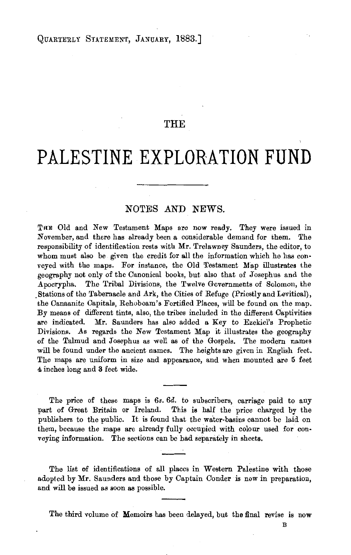## THE

## **PALESTINE EXPLORATION FUND**

## NOTES AND NEWS.

TRE Old and New Testament Maps are now ready. They were issued in November, and there has already been a considerable demand for them. The responsibility of identification rests with Mr. Trelawney Saunders, the editor, to whom must also be given the credit for all the information which he has conveyed with the maps. For instance, the Old Testament Map illustrates the geography not only of the Canonical books, but also that of Josephus and the Apocrypha. The Tribal Divisions, the Twelve Governments of Solomon, the . Stations of the Tabernacle and Ark, the Cities of Refuge (Priestly and Levitical), the Canaanite Capitals, Rehoboam's Fortified Places, will be found on the map. By means of different tints, also, the tribes included in the different Captivities are indicated. Mr. Saunders has also added a Key to Ezekiel's Prophetic Divisions. As regards the New Testament Map it illustrates the geography of the Talmud and Josephus as well as of the Gospels. The modern names will be found under the ancient names. The heights are given in English feet. The maps are uniform in size and appearance, and when mounted are 5 feet 4 inches long and 3 feet wide.

The price of these maps is 6s. 6d. to subscribers, carriage paid to any part of Great Britain or Ireland. This is half the price charged by the publishers to the public. It is found that the water-basins cannot be laid on them, because the maps are already fully occupied with colour used for conveying information. The sections can be bad separately in sheets.

The list of identifications of all places in Western Palestine with those adopted by Mr. Saunders and those by Captain Conder is now in preparation, and will be issued as soon as possible.

The third volume of Memoirs has been delayed, but the final revise is now

B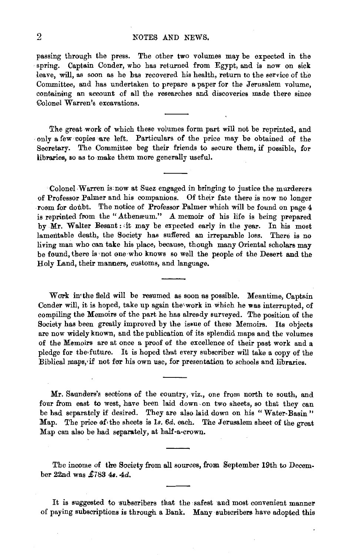## 2 NOTES AND NEWS.

passing through the press. The other two volumes may be expected in the spring. Captain Conder, who has returned from Egypt, and is now on sick leave, will, as soon as he has recovered his health, return to the service of the Committee, and has undertaken to prepare a paper for the Jerusalem volume, containing an account of all the researches and discoveries made there since Colonel Warren's excavations.

The great work of which these volumes form part will not be reprinted, and only a few copies are left. Particulars of the price may be obtained of the Secretary. The Committee beg their friends to secure them, if possible, for libraries, so as to make them more generally useful.

Colonel Warren is now at Suez engaged in bringing to justice the murderers of Professor Palmer and his companions. Of their fate there is now no longer room for doubt. The notice of Professor Palmer which will be found on page  $4$ is reprinted from the "Athenæum." A memoir of his life is being prepared by Mr. Walter Besant: it may be expected early in the year. In his most lamentable death, the Society has suffered an irreparable loss. There is no living man who can take his place, because, though many Oriental scholars may be found, there is not one who knows so well the people of the Desert and the Holy Land, their manners, customs, and language.

Work in the field will be resumed as soon as possible. Meantime, Captain Conder will, it is hoped, take up again the'work in which he was interrupted, of compiling the Memoirs of the part he has already surveyed. The position of the Society has been greatly improved by the issue of these Memoirs. Its objects are now widely known, and the publication of its splendid maps and the volumes of the Memoirs are at once a proof of the excellence of their past work and a pledge for the future. It is hoped that every subscriber will take a copy of the Biblical maps, if not for his own use, for presentation to schools and libraries.

Mr. Saunders's sections of the country, viz., one from north to south, and four from east to west, have been laid down, on two sheets, so that they can be had separately if desired. They are also laid down on his "Water-Basin" Map. The price of the sheets is 1s.  $6d$ , each. The Jerusalem sheet of the great Map can also be had separately, at half-a-crown.

The income of the Society from all sources, from September 19th to December 22nd was  $£783$  4s. 4d.

It is suggested to subscribers that the safest and most convenient manner of paying subscriptions is through a Bank. Many subscribers have adopted this